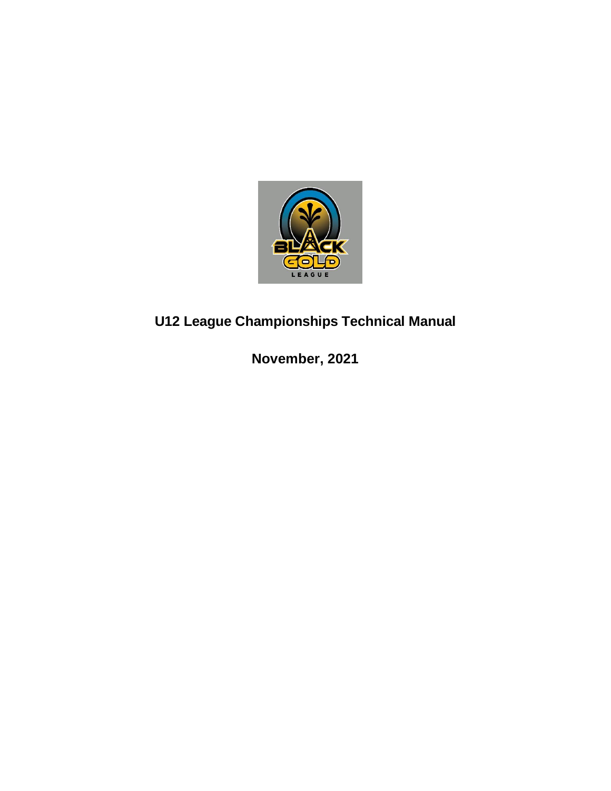

# **U12 League Championships Technical Manual**

**November, 2021**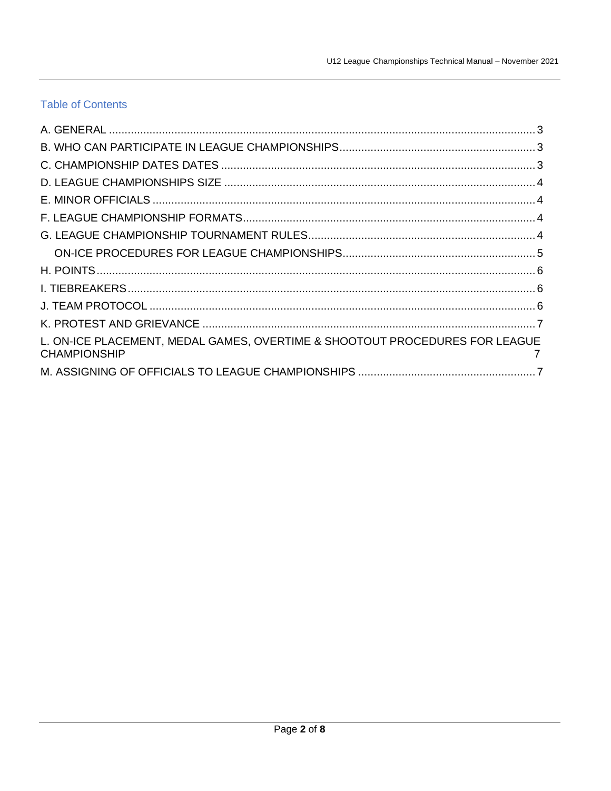# **Table of Contents**

| L. ON-ICE PLACEMENT, MEDAL GAMES, OVERTIME & SHOOTOUT PROCEDURES FOR LEAGUE<br><b>CHAMPIONSHIP</b> |  |
|----------------------------------------------------------------------------------------------------|--|
|                                                                                                    |  |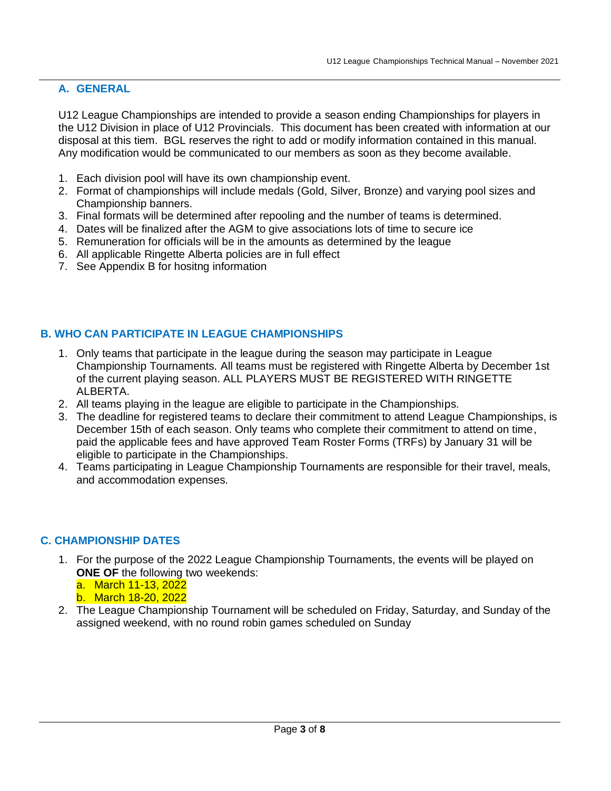#### <span id="page-2-0"></span>**A. GENERAL**

U12 League Championships are intended to provide a season ending Championships for players in the U12 Division in place of U12 Provincials. This document has been created with information at our disposal at this tiem. BGL reserves the right to add or modify information contained in this manual. Any modification would be communicated to our members as soon as they become available.

- 1. Each division pool will have its own championship event.
- 2. Format of championships will include medals (Gold, Silver, Bronze) and varying pool sizes and Championship banners.
- 3. Final formats will be determined after repooling and the number of teams is determined.
- 4. Dates will be finalized after the AGM to give associations lots of time to secure ice
- 5. Remuneration for officials will be in the amounts as determined by the league
- 6. All applicable Ringette Alberta policies are in full effect
- 7. See Appendix B for hositng information

## <span id="page-2-1"></span>**B. WHO CAN PARTICIPATE IN LEAGUE CHAMPIONSHIPS**

- 1. Only teams that participate in the league during the season may participate in League Championship Tournaments. All teams must be registered with Ringette Alberta by December 1st of the current playing season. ALL PLAYERS MUST BE REGISTERED WITH RINGETTE ALBERTA.
- 2. All teams playing in the league are eligible to participate in the Championships.
- 3. The deadline for registered teams to declare their commitment to attend League Championships, is December 15th of each season. Only teams who complete their commitment to attend on time, paid the applicable fees and have approved Team Roster Forms (TRFs) by January 31 will be eligible to participate in the Championships.
- 4. Teams participating in League Championship Tournaments are responsible for their travel, meals, and accommodation expenses.

#### <span id="page-2-2"></span>**C. CHAMPIONSHIP DATES**

- 1. For the purpose of the 2022 League Championship Tournaments, the events will be played on **ONE OF** the following two weekends:
	- a. March 11-13, 2022 b. March 18-20, 2022
- 2. The League Championship Tournament will be scheduled on Friday, Saturday, and Sunday of the assigned weekend, with no round robin games scheduled on Sunday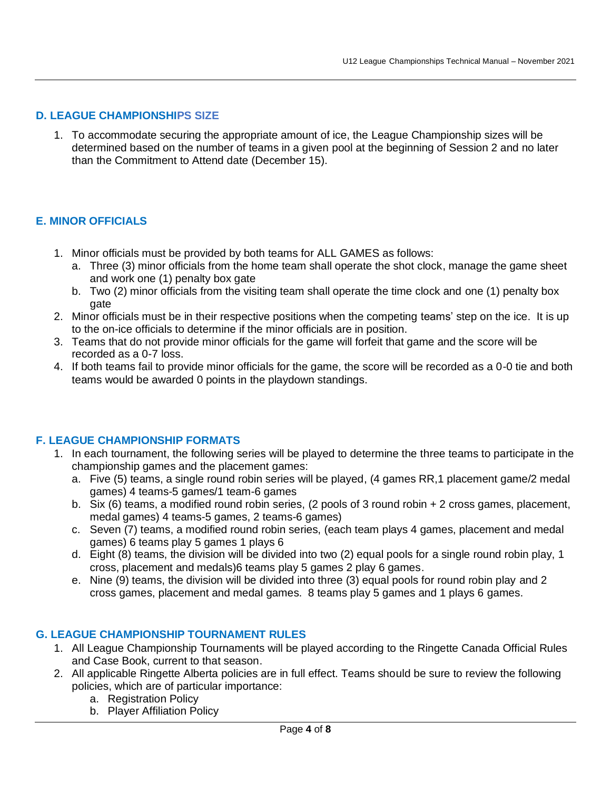#### <span id="page-3-0"></span>**D. LEAGUE CHAMPIONSHIPS SIZE**

1. To accommodate securing the appropriate amount of ice, the League Championship sizes will be determined based on the number of teams in a given pool at the beginning of Session 2 and no later than the Commitment to Attend date (December 15).

## <span id="page-3-1"></span>**E. MINOR OFFICIALS**

- 1. Minor officials must be provided by both teams for ALL GAMES as follows:
	- a. Three (3) minor officials from the home team shall operate the shot clock, manage the game sheet and work one (1) penalty box gate
	- b. Two (2) minor officials from the visiting team shall operate the time clock and one (1) penalty box gate
- 2. Minor officials must be in their respective positions when the competing teams' step on the ice. It is up to the on-ice officials to determine if the minor officials are in position.
- 3. Teams that do not provide minor officials for the game will forfeit that game and the score will be recorded as a 0-7 loss.
- 4. If both teams fail to provide minor officials for the game, the score will be recorded as a 0-0 tie and both teams would be awarded 0 points in the playdown standings.

#### <span id="page-3-2"></span>**F. LEAGUE CHAMPIONSHIP FORMATS**

- 1. In each tournament, the following series will be played to determine the three teams to participate in the championship games and the placement games:
	- a. Five (5) teams, a single round robin series will be played, (4 games RR,1 placement game/2 medal games) 4 teams-5 games/1 team-6 games
	- b. Six (6) teams, a modified round robin series, (2 pools of 3 round robin + 2 cross games, placement, medal games) 4 teams-5 games, 2 teams-6 games)
	- c. Seven (7) teams, a modified round robin series, (each team plays 4 games, placement and medal games) 6 teams play 5 games 1 plays 6
	- d. Eight (8) teams, the division will be divided into two (2) equal pools for a single round robin play, 1 cross, placement and medals)6 teams play 5 games 2 play 6 games.
	- e. Nine (9) teams, the division will be divided into three (3) equal pools for round robin play and 2 cross games, placement and medal games. 8 teams play 5 games and 1 plays 6 games.

#### <span id="page-3-3"></span>**G. LEAGUE CHAMPIONSHIP TOURNAMENT RULES**

- 1. All League Championship Tournaments will be played according to the Ringette Canada Official Rules and Case Book, current to that season.
- 2. All applicable Ringette Alberta policies are in full effect. Teams should be sure to review the following policies, which are of particular importance:
	- a. Registration Policy
	- b. Player Affiliation Policy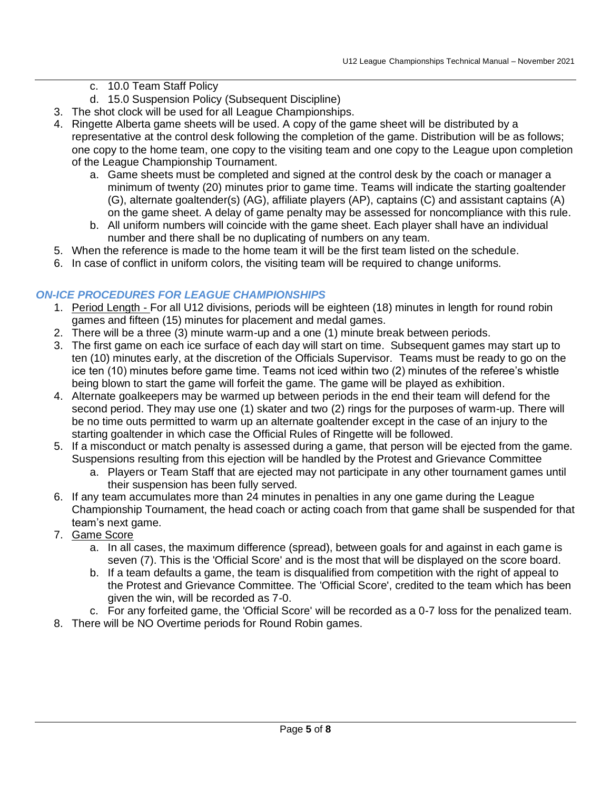#### c. 10.0 Team Staff Policy

- d. 15.0 Suspension Policy (Subsequent Discipline)
- 3. The shot clock will be used for all League Championships.
- 4. Ringette Alberta game sheets will be used. A copy of the game sheet will be distributed by a representative at the control desk following the completion of the game. Distribution will be as follows; one copy to the home team, one copy to the visiting team and one copy to the League upon completion of the League Championship Tournament.
	- a. Game sheets must be completed and signed at the control desk by the coach or manager a minimum of twenty (20) minutes prior to game time. Teams will indicate the starting goaltender (G), alternate goaltender(s) (AG), affiliate players (AP), captains (C) and assistant captains (A) on the game sheet. A delay of game penalty may be assessed for noncompliance with this rule.
	- b. All uniform numbers will coincide with the game sheet. Each player shall have an individual number and there shall be no duplicating of numbers on any team.
- 5. When the reference is made to the home team it will be the first team listed on the schedule.
- 6. In case of conflict in uniform colors, the visiting team will be required to change uniforms.

## <span id="page-4-0"></span>*ON-ICE PROCEDURES FOR LEAGUE CHAMPIONSHIPS*

- 1. Period Length For all U12 divisions, periods will be eighteen (18) minutes in length for round robin games and fifteen (15) minutes for placement and medal games.
- 2. There will be a three (3) minute warm-up and a one (1) minute break between periods.
- 3. The first game on each ice surface of each day will start on time. Subsequent games may start up to ten (10) minutes early, at the discretion of the Officials Supervisor. Teams must be ready to go on the ice ten (10) minutes before game time. Teams not iced within two (2) minutes of the referee's whistle being blown to start the game will forfeit the game. The game will be played as exhibition.
- 4. Alternate goalkeepers may be warmed up between periods in the end their team will defend for the second period. They may use one (1) skater and two (2) rings for the purposes of warm-up. There will be no time outs permitted to warm up an alternate goaltender except in the case of an injury to the starting goaltender in which case the Official Rules of Ringette will be followed.
- 5. If a misconduct or match penalty is assessed during a game, that person will be ejected from the game. Suspensions resulting from this ejection will be handled by the Protest and Grievance Committee
	- a. Players or Team Staff that are ejected may not participate in any other tournament games until their suspension has been fully served.
- 6. If any team accumulates more than 24 minutes in penalties in any one game during the League Championship Tournament, the head coach or acting coach from that game shall be suspended for that team's next game.
- 7. Game Score
	- a. In all cases, the maximum difference (spread), between goals for and against in each game is seven (7). This is the 'Official Score' and is the most that will be displayed on the score board.
	- b. If a team defaults a game, the team is disqualified from competition with the right of appeal to the Protest and Grievance Committee. The 'Official Score', credited to the team which has been given the win, will be recorded as 7-0.
- c. For any forfeited game, the 'Official Score' will be recorded as a 0-7 loss for the penalized team.
- <span id="page-4-1"></span>8. There will be NO Overtime periods for Round Robin games.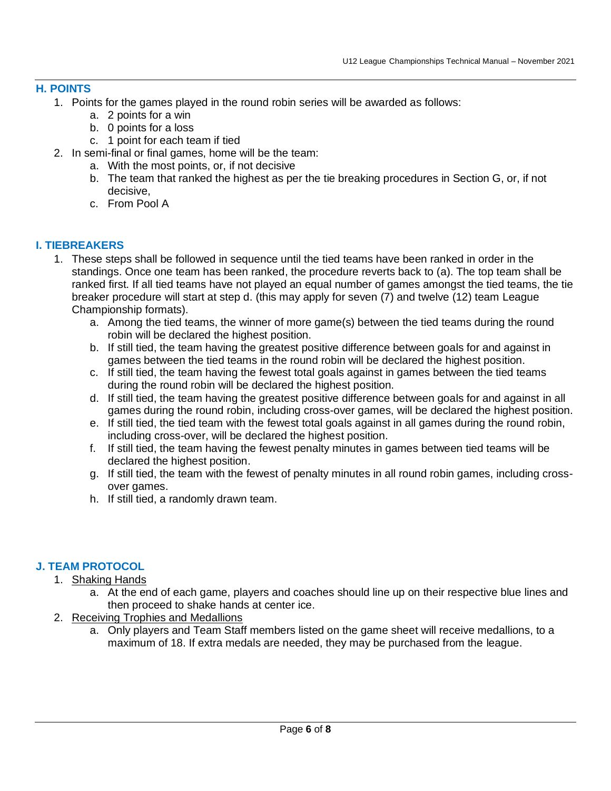#### **H. POINTS**

- 1. Points for the games played in the round robin series will be awarded as follows:
	- a. 2 points for a win
	- b. 0 points for a loss
	- c. 1 point for each team if tied
- 2. In semi-final or final games, home will be the team:
	- a. With the most points, or, if not decisive
	- b. The team that ranked the highest as per the tie breaking procedures in Section G, or, if not decisive,
	- c. From Pool A

#### <span id="page-5-0"></span>**I. TIEBREAKERS**

- 1. These steps shall be followed in sequence until the tied teams have been ranked in order in the standings. Once one team has been ranked, the procedure reverts back to (a). The top team shall be ranked first. If all tied teams have not played an equal number of games amongst the tied teams, the tie breaker procedure will start at step d. (this may apply for seven (7) and twelve (12) team League Championship formats).
	- a. Among the tied teams, the winner of more game(s) between the tied teams during the round robin will be declared the highest position.
	- b. If still tied, the team having the greatest positive difference between goals for and against in games between the tied teams in the round robin will be declared the highest position.
	- c. If still tied, the team having the fewest total goals against in games between the tied teams during the round robin will be declared the highest position.
	- d. If still tied, the team having the greatest positive difference between goals for and against in all games during the round robin, including cross-over games, will be declared the highest position.
	- e. If still tied, the tied team with the fewest total goals against in all games during the round robin, including cross-over, will be declared the highest position.
	- f. If still tied, the team having the fewest penalty minutes in games between tied teams will be declared the highest position.
	- g. If still tied, the team with the fewest of penalty minutes in all round robin games, including crossover games.
	- h. If still tied, a randomly drawn team.

# <span id="page-5-1"></span>**J. TEAM PROTOCOL**

- 1. Shaking Hands
	- a. At the end of each game, players and coaches should line up on their respective blue lines and then proceed to shake hands at center ice.
- <span id="page-5-2"></span>2. Receiving Trophies and Medallions
	- a. Only players and Team Staff members listed on the game sheet will receive medallions, to a maximum of 18. If extra medals are needed, they may be purchased from the league.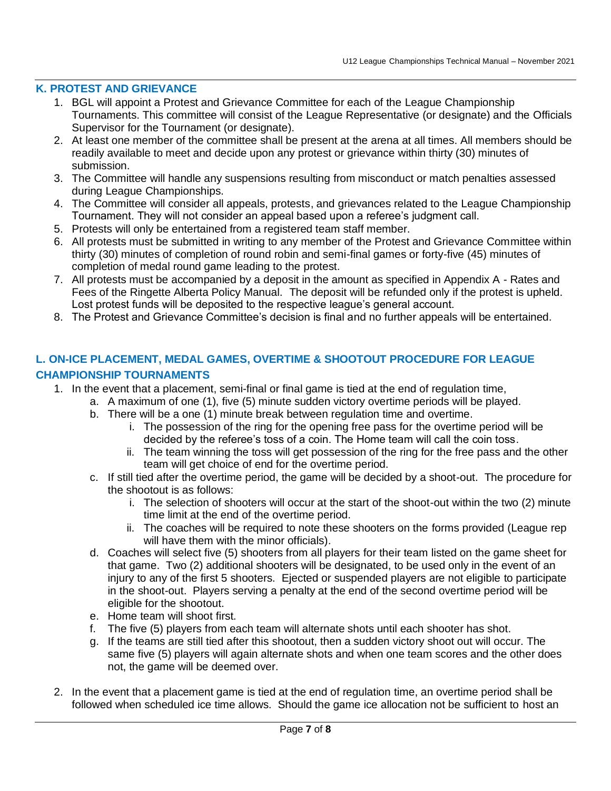## **K. PROTEST AND GRIEVANCE**

- 1. BGL will appoint a Protest and Grievance Committee for each of the League Championship Tournaments. This committee will consist of the League Representative (or designate) and the Officials Supervisor for the Tournament (or designate).
- 2. At least one member of the committee shall be present at the arena at all times. All members should be readily available to meet and decide upon any protest or grievance within thirty (30) minutes of submission.
- 3. The Committee will handle any suspensions resulting from misconduct or match penalties assessed during League Championships.
- 4. The Committee will consider all appeals, protests, and grievances related to the League Championship Tournament. They will not consider an appeal based upon a referee's judgment call.
- 5. Protests will only be entertained from a registered team staff member.
- 6. All protests must be submitted in writing to any member of the Protest and Grievance Committee within thirty (30) minutes of completion of round robin and semi-final games or forty-five (45) minutes of completion of medal round game leading to the protest.
- 7. All protests must be accompanied by a deposit in the amount as specified in Appendix A Rates and Fees of the Ringette Alberta Policy Manual. The deposit will be refunded only if the protest is upheld. Lost protest funds will be deposited to the respective league's general account.
- <span id="page-6-1"></span><span id="page-6-0"></span>8. The Protest and Grievance Committee's decision is final and no further appeals will be entertained.

# **L. ON-ICE PLACEMENT, MEDAL GAMES, OVERTIME & SHOOTOUT PROCEDURE FOR LEAGUE CHAMPIONSHIP TOURNAMENTS**

- 1. In the event that a placement, semi-final or final game is tied at the end of regulation time,
	- a. A maximum of one (1), five (5) minute sudden victory overtime periods will be played.
	- b. There will be a one (1) minute break between regulation time and overtime.
		- i. The possession of the ring for the opening free pass for the overtime period will be decided by the referee's toss of a coin. The Home team will call the coin toss.
		- ii. The team winning the toss will get possession of the ring for the free pass and the other team will get choice of end for the overtime period.
	- c. If still tied after the overtime period, the game will be decided by a shoot-out. The procedure for the shootout is as follows:
		- i. The selection of shooters will occur at the start of the shoot-out within the two (2) minute time limit at the end of the overtime period.
		- ii. The coaches will be required to note these shooters on the forms provided (League rep will have them with the minor officials).
	- d. Coaches will select five (5) shooters from all players for their team listed on the game sheet for that game. Two (2) additional shooters will be designated, to be used only in the event of an injury to any of the first 5 shooters. Ejected or suspended players are not eligible to participate in the shoot-out. Players serving a penalty at the end of the second overtime period will be eligible for the shootout.
	- e. Home team will shoot first.
	- f. The five (5) players from each team will alternate shots until each shooter has shot.
	- g. If the teams are still tied after this shootout, then a sudden victory shoot out will occur. The same five (5) players will again alternate shots and when one team scores and the other does not, the game will be deemed over.
- 2. In the event that a placement game is tied at the end of regulation time, an overtime period shall be followed when scheduled ice time allows. Should the game ice allocation not be sufficient to host an